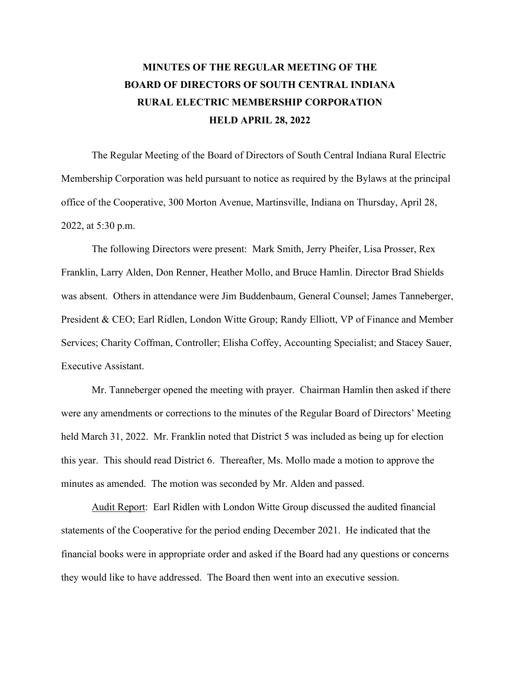## **MINUTES OF THE REGULAR MEETING OF THE BOARD OF DIRECTORS OF SOUTH CENTRAL INDIANA RURAL ELECTRIC MEMBERSHIP CORPORATION HELD APRIL 28, 2022**

The Regular Meeting of the Board of Directors of South Central Indiana Rural Electric Membership Corporation was held pursuant to notice as required by the Bylaws at the principal office of the Cooperative, 300 Morton Avenue, Martinsville, Indiana on Thursday, April 28, 2022, at 5:30 p.m.

The following Directors were present: Mark Smith, Jerry Pheifer, Lisa Prosser, Rex Franklin, Larry Alden, Don Renner, Heather Mollo, and Bruce Hamlin. Director Brad Shields was absent. Others in attendance were Jim Buddenbaum, General Counsel; James Tanneberger, President & CEO; Earl Ridlen, London Witte Group; Randy Elliott, VP of Finance and Member Services; Charity Coffman, Controller; Elisha Coffey, Accounting Specialist; and Stacey Sauer, Executive Assistant.

Mr. Tanneberger opened the meeting with prayer. Chairman Hamlin then asked if there were any amendments or corrections to the minutes of the Regular Board of Directors' Meeting held March 31, 2022. Mr. Franklin noted that District 5 was included as being up for election this year. This should read District 6. Thereafter, Ms. Mollo made a motion to approve the minutes as amended. The motion was seconded by Mr. Alden and passed.

Audit Report: Earl Ridlen with London Witte Group discussed the audited financial statements of the Cooperative for the period ending December 2021. He indicated that the financial books were in appropriate order and asked if the Board had any questions or concerns they would like to have addressed. The Board then went into an executive session.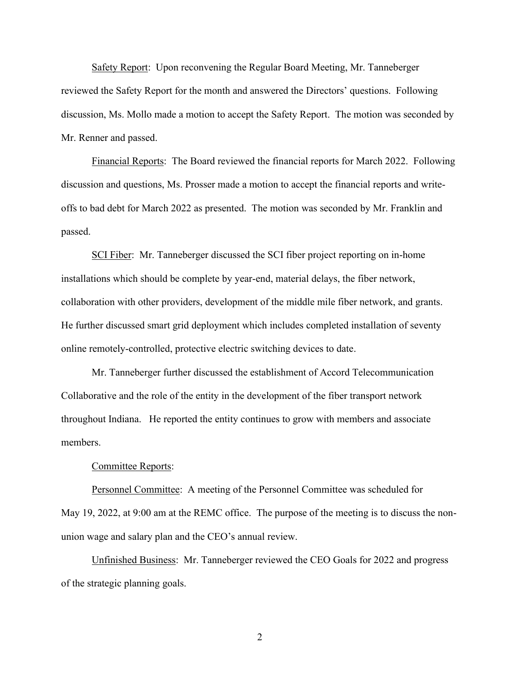Safety Report: Upon reconvening the Regular Board Meeting, Mr. Tanneberger reviewed the Safety Report for the month and answered the Directors' questions. Following discussion, Ms. Mollo made a motion to accept the Safety Report. The motion was seconded by Mr. Renner and passed.

Financial Reports: The Board reviewed the financial reports for March 2022. Following discussion and questions, Ms. Prosser made a motion to accept the financial reports and writeoffs to bad debt for March 2022 as presented. The motion was seconded by Mr. Franklin and passed.

SCI Fiber: Mr. Tanneberger discussed the SCI fiber project reporting on in-home installations which should be complete by year-end, material delays, the fiber network, collaboration with other providers, development of the middle mile fiber network, and grants. He further discussed smart grid deployment which includes completed installation of seventy online remotely-controlled, protective electric switching devices to date.

Mr. Tanneberger further discussed the establishment of Accord Telecommunication Collaborative and the role of the entity in the development of the fiber transport network throughout Indiana. He reported the entity continues to grow with members and associate members.

## Committee Reports:

Personnel Committee: A meeting of the Personnel Committee was scheduled for May 19, 2022, at 9:00 am at the REMC office. The purpose of the meeting is to discuss the nonunion wage and salary plan and the CEO's annual review.

Unfinished Business: Mr. Tanneberger reviewed the CEO Goals for 2022 and progress of the strategic planning goals.

2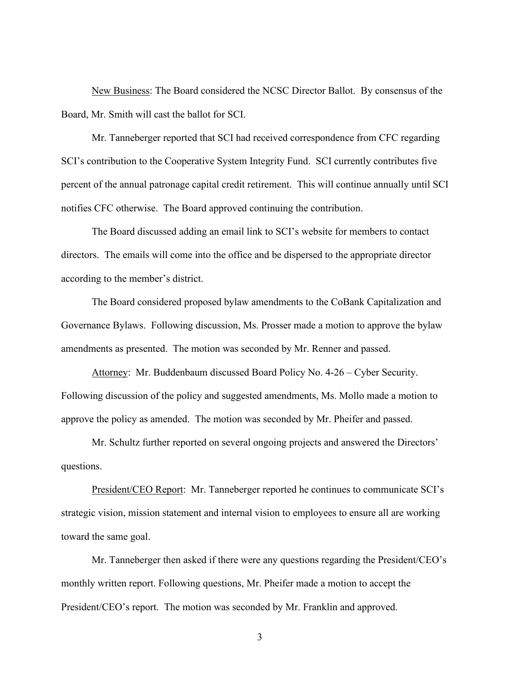New Business: The Board considered the NCSC Director Ballot. By consensus of the Board, Mr. Smith will cast the ballot for SCI.

Mr. Tanneberger reported that SCI had received correspondence from CFC regarding SCI's contribution to the Cooperative System Integrity Fund. SCI currently contributes five percent of the annual patronage capital credit retirement. This will continue annually until SCI notifies CFC otherwise. The Board approved continuing the contribution.

The Board discussed adding an email link to SCI's website for members to contact directors. The emails will come into the office and be dispersed to the appropriate director according to the member's district.

The Board considered proposed bylaw amendments to the CoBank Capitalization and Governance Bylaws. Following discussion, Ms. Prosser made a motion to approve the bylaw amendments as presented. The motion was seconded by Mr. Renner and passed.

 Attorney: Mr. Buddenbaum discussed Board Policy No. 4-26 – Cyber Security. Following discussion of the policy and suggested amendments, Ms. Mollo made a motion to approve the policy as amended. The motion was seconded by Mr. Pheifer and passed.

Mr. Schultz further reported on several ongoing projects and answered the Directors' questions.

President/CEO Report: Mr. Tanneberger reported he continues to communicate SCI's strategic vision, mission statement and internal vision to employees to ensure all are working toward the same goal.

Mr. Tanneberger then asked if there were any questions regarding the President/CEO's monthly written report. Following questions, Mr. Pheifer made a motion to accept the President/CEO's report. The motion was seconded by Mr. Franklin and approved.

3